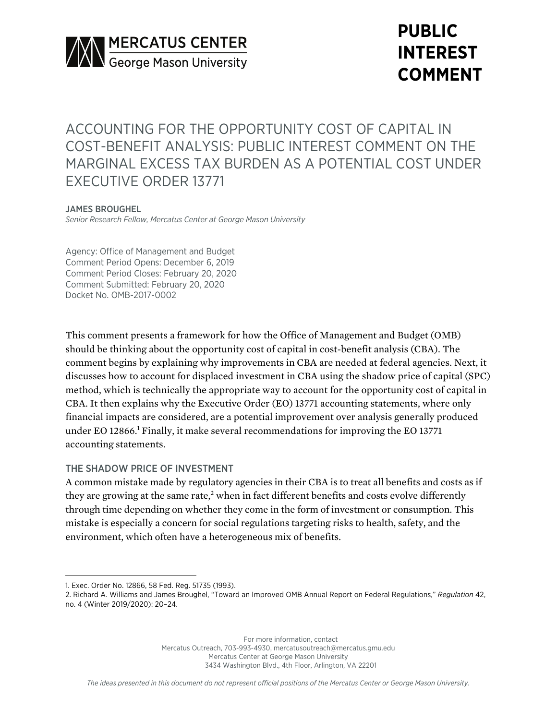

# **PUBLIC INTEREST COMMENT**

ACCOUNTING FOR THE OPPORTUNITY COST OF CAPITAL IN COST-BENEFIT ANALYSIS: PUBLIC INTEREST COMMENT ON THE MARGINAL EXCESS TAX BURDEN AS A POTENTIAL COST UNDER EXECUTIVE ORDER 13771

## JAMES BROUGHEL

*Senior Research Fellow, Mercatus Center at George Mason University*

Agency: Office of Management and Budget Comment Period Opens: December 6, 2019 Comment Period Closes: February 20, 2020 Comment Submitted: February 20, 2020 Docket No. OMB-2017-0002

This comment presents a framework for how the Office of Management and Budget (OMB) should be thinking about the opportunity cost of capital in cost-benefit analysis (CBA). The comment begins by explaining why improvements in CBA are needed at federal agencies. Next, it discusses how to account for displaced investment in CBA using the shadow price of capital (SPC) method, which is technically the appropriate way to account for the opportunity cost of capital in CBA. It then explains why the Executive Order (EO) 13771 accounting statements, where only financial impacts are considered, are a potential improvement over analysis generally produced under EO 12866.1 Finally, it make several recommendations for improving the EO 13771 accounting statements.

## THE SHADOW PRICE OF INVESTMENT

A common mistake made by regulatory agencies in their CBA is to treat all benefits and costs as if they are growing at the same rate,<sup>2</sup> when in fact different benefits and costs evolve differently through time depending on whether they come in the form of investment or consumption. This mistake is especially a concern for social regulations targeting risks to health, safety, and the environment, which often have a heterogeneous mix of benefits.

For more information, contact Mercatus Outreach, 703-993-4930, mercatusoutreach@mercatus.gmu.edu Mercatus Center at George Mason University 3434 Washington Blvd., 4th Floor, Arlington, VA 22201

<sup>1.</sup> Exec. Order No. 12866, 58 Fed. Reg. 51735 (1993).

<sup>2.</sup> Richard A. Williams and James Broughel, "Toward an Improved OMB Annual Report on Federal Regulations," *Regulation* 42, no. 4 (Winter 2019/2020): 20–24.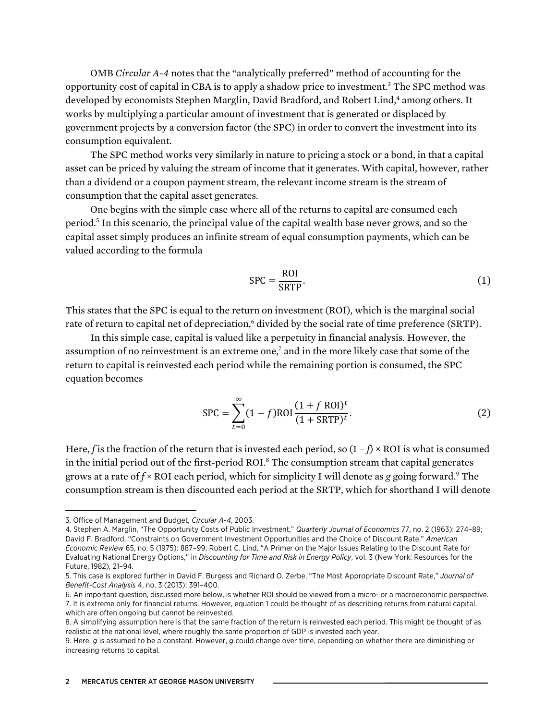OMB *Circular A-4* notes that the "analytically preferred" method of accounting for the opportunity cost of capital in CBA is to apply a shadow price to investment.3 The SPC method was developed by economists Stephen Marglin, David Bradford, and Robert Lind,<sup>4</sup> among others. It works by multiplying a particular amount of investment that is generated or displaced by government projects by a conversion factor (the SPC) in order to convert the investment into its consumption equivalent.

The SPC method works very similarly in nature to pricing a stock or a bond, in that a capital asset can be priced by valuing the stream of income that it generates. With capital, however, rather than a dividend or a coupon payment stream, the relevant income stream is the stream of consumption that the capital asset generates.

One begins with the simple case where all of the returns to capital are consumed each period.5 In this scenario, the principal value of the capital wealth base never grows, and so the capital asset simply produces an infinite stream of equal consumption payments, which can be valued according to the formula

$$
SPC = \frac{ROI}{SRTP}.
$$
 (1)

This states that the SPC is equal to the return on investment (ROI), which is the marginal social rate of return to capital net of depreciation,<sup>6</sup> divided by the social rate of time preference (SRTP).

In this simple case, capital is valued like a perpetuity in financial analysis. However, the assumption of no reinvestment is an extreme one,<sup>7</sup> and in the more likely case that some of the return to capital is reinvested each period while the remaining portion is consumed, the SPC equation becomes

$$
SPC = \sum_{t=0}^{\infty} (1 - f) ROI \frac{(1 + f ROI)^t}{(1 + SRTP)^t}.
$$
 (2)

Here, *f* is the fraction of the return that is invested each period, so (1 − *f*) × ROI is what is consumed in the initial period out of the first-period ROI.<sup>8</sup> The consumption stream that capital generates grows at a rate of  $f \times \text{ROI}$  each period, which for simplicity I will denote as *g* going forward.<sup>9</sup> The consumption stream is then discounted each period at the SRTP, which for shorthand I will denote

<sup>3.</sup> Office of Management and Budget, *Circular A-4*, 2003.

<sup>4.</sup> Stephen A. Marglin, "The Opportunity Costs of Public Investment," *Quarterly Journal of Economics* 77, no. 2 (1963): 274–89; David F. Bradford, "Constraints on Government Investment Opportunities and the Choice of Discount Rate," *American Economic Review* 65, no. 5 (1975): 887–99; Robert C. Lind, "A Primer on the Major Issues Relating to the Discount Rate for Evaluating National Energy Options," in *Discounting for Time and Risk in Energy Policy*, vol. 3 (New York: Resources for the Future, 1982), 21–94.

<sup>5.</sup> This case is explored further in David F. Burgess and Richard O. Zerbe, "The Most Appropriate Discount Rate," *Journal of Benefit-Cost Analysis* 4, no. 3 (2013): 391–400.

<sup>6.</sup> An important question, discussed more below, is whether ROI should be viewed from a micro- or a macroeconomic perspective. 7. It is extreme only for financial returns. However, equation 1 could be thought of as describing returns from natural capital, which are often ongoing but cannot be reinvested.

<sup>8.</sup> A simplifying assumption here is that the same fraction of the return is reinvested each period. This might be thought of as realistic at the national level, where roughly the same proportion of GDP is invested each year.

<sup>9.</sup> Here, *g* is assumed to be a constant. However, *g* could change over time, depending on whether there are diminishing or increasing returns to capital.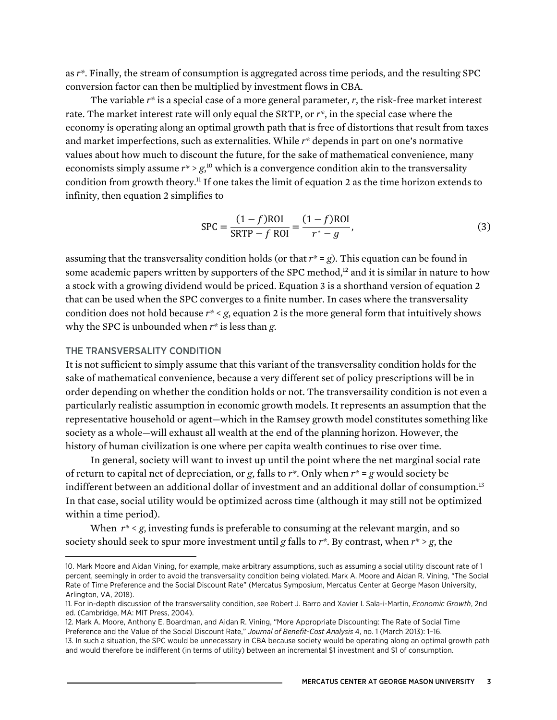as *r\**. Finally, the stream of consumption is aggregated across time periods, and the resulting SPC conversion factor can then be multiplied by investment flows in CBA.

The variable *r\** is a special case of a more general parameter, *r*, the risk-free market interest rate. The market interest rate will only equal the SRTP, or *r\**, in the special case where the economy is operating along an optimal growth path that is free of distortions that result from taxes and market imperfections, such as externalities. While *r\** depends in part on one's normative values about how much to discount the future, for the sake of mathematical convenience, many economists simply assume  $r^* > g$ ,<sup>10</sup> which is a convergence condition akin to the transversality condition from growth theory.11 If one takes the limit of equation 2 as the time horizon extends to infinity, then equation 2 simplifies to

$$
SPC = \frac{(1 - f)ROI}{SRTP - f ROI} = \frac{(1 - f) ROI}{r^* - g},
$$
\n(3)

assuming that the transversality condition holds (or that  $r^* = g$ ). This equation can be found in some academic papers written by supporters of the SPC method, $12$  and it is similar in nature to how a stock with a growing dividend would be priced. Equation 3 is a shorthand version of equation 2 that can be used when the SPC converges to a finite number. In cases where the transversality condition does not hold because  $r^* < g$ , equation 2 is the more general form that intuitively shows why the SPC is unbounded when *r\** is less than *g*.

#### THE TRANSVERSALITY CONDITION

It is not sufficient to simply assume that this variant of the transversality condition holds for the sake of mathematical convenience, because a very different set of policy prescriptions will be in order depending on whether the condition holds or not. The transversaility condition is not even a particularly realistic assumption in economic growth models. It represents an assumption that the representative household or agent—which in the Ramsey growth model constitutes something like society as a whole—will exhaust all wealth at the end of the planning horizon. However, the history of human civilization is one where per capita wealth continues to rise over time.

In general, society will want to invest up until the point where the net marginal social rate of return to capital net of depreciation, or *g*, falls to *r\**. Only when *r\** = *g* would society be indifferent between an additional dollar of investment and an additional dollar of consumption.<sup>13</sup> In that case, social utility would be optimized across time (although it may still not be optimized within a time period).

When *r\** < *g*, investing funds is preferable to consuming at the relevant margin, and so society should seek to spur more investment until *g* falls to *r\**. By contrast, when *r\** > *g*, the

<sup>10.</sup> Mark Moore and Aidan Vining, for example, make arbitrary assumptions, such as assuming a social utility discount rate of 1 percent, seemingly in order to avoid the transversality condition being violated. Mark A. Moore and Aidan R. Vining, "The Social Rate of Time Preference and the Social Discount Rate" (Mercatus Symposium, Mercatus Center at George Mason University, Arlington, VA, 2018).

<sup>11.</sup> For in-depth discussion of the transversality condition, see Robert J. Barro and Xavier I. Sala-i-Martin, *Economic Growth*, 2nd ed. (Cambridge, MA: MIT Press, 2004).

<sup>12.</sup> Mark A. Moore, Anthony E. Boardman, and Aidan R. Vining, "More Appropriate Discounting: The Rate of Social Time Preference and the Value of the Social Discount Rate," *Journal of Benefit-Cost Analysis* 4, no. 1 (March 2013): 1–16. 13. In such a situation, the SPC would be unnecessary in CBA because society would be operating along an optimal growth path and would therefore be indifferent (in terms of utility) between an incremental \$1 investment and \$1 of consumption.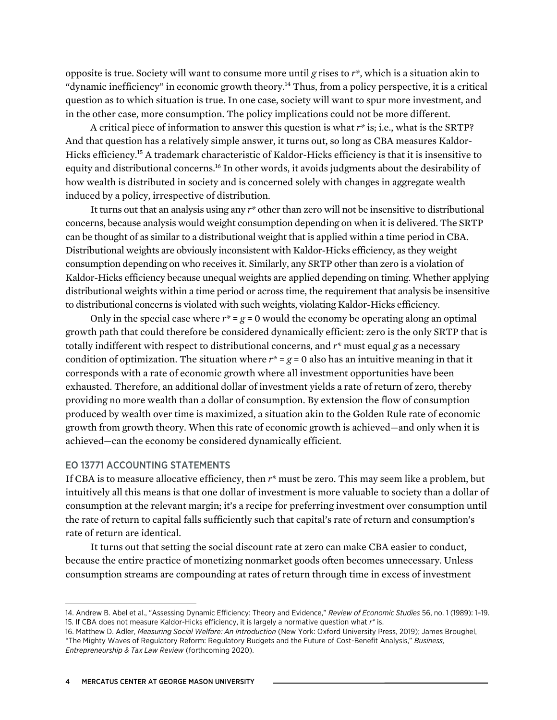opposite is true. Society will want to consume more until *g* rises to *r\**, which is a situation akin to "dynamic inefficiency" in economic growth theory.<sup>14</sup> Thus, from a policy perspective, it is a critical question as to which situation is true. In one case, society will want to spur more investment, and in the other case, more consumption. The policy implications could not be more different.

A critical piece of information to answer this question is what *r\** is; i.e., what is the SRTP? And that question has a relatively simple answer, it turns out, so long as CBA measures Kaldor-Hicks efficiency.<sup>15</sup> A trademark characteristic of Kaldor-Hicks efficiency is that it is insensitive to equity and distributional concerns.<sup>16</sup> In other words, it avoids judgments about the desirability of how wealth is distributed in society and is concerned solely with changes in aggregate wealth induced by a policy, irrespective of distribution.

It turns out that an analysis using any *r\** other than zero will not be insensitive to distributional concerns, because analysis would weight consumption depending on when it is delivered. The SRTP can be thought of as similar to a distributional weight that is applied within a time period in CBA. Distributional weights are obviously inconsistent with Kaldor-Hicks efficiency, as they weight consumption depending on who receives it. Similarly, any SRTP other than zero is a violation of Kaldor-Hicks efficiency because unequal weights are applied depending on timing. Whether applying distributional weights within a time period or across time, the requirement that analysis be insensitive to distributional concerns is violated with such weights, violating Kaldor-Hicks efficiency.

Only in the special case where  $r^* = g = 0$  would the economy be operating along an optimal growth path that could therefore be considered dynamically efficient: zero is the only SRTP that is totally indifferent with respect to distributional concerns, and *r\** must equal *g* as a necessary condition of optimization. The situation where  $r^* = g = 0$  also has an intuitive meaning in that it corresponds with a rate of economic growth where all investment opportunities have been exhausted. Therefore, an additional dollar of investment yields a rate of return of zero, thereby providing no more wealth than a dollar of consumption. By extension the flow of consumption produced by wealth over time is maximized, a situation akin to the Golden Rule rate of economic growth from growth theory. When this rate of economic growth is achieved—and only when it is achieved—can the economy be considered dynamically efficient.

# EO 13771 ACCOUNTING STATEMENTS

If CBA is to measure allocative efficiency, then *r\** must be zero. This may seem like a problem, but intuitively all this means is that one dollar of investment is more valuable to society than a dollar of consumption at the relevant margin; it's a recipe for preferring investment over consumption until the rate of return to capital falls sufficiently such that capital's rate of return and consumption's rate of return are identical.

It turns out that setting the social discount rate at zero can make CBA easier to conduct, because the entire practice of monetizing nonmarket goods often becomes unnecessary. Unless consumption streams are compounding at rates of return through time in excess of investment

<sup>14.</sup> Andrew B. Abel et al., "Assessing Dynamic Efficiency: Theory and Evidence," *Review of Economic Studies* 56, no. 1 (1989): 1–19. 15. If CBA does not measure Kaldor-Hicks efficiency, it is largely a normative question what *r\** is.

<sup>16.</sup> Matthew D. Adler, *Measuring Social Welfare: An Introduction* (New York: Oxford University Press, 2019); James Broughel, "The Mighty Waves of Regulatory Reform: Regulatory Budgets and the Future of Cost-Benefit Analysis," *Business, Entrepreneurship & Tax Law Review* (forthcoming 2020).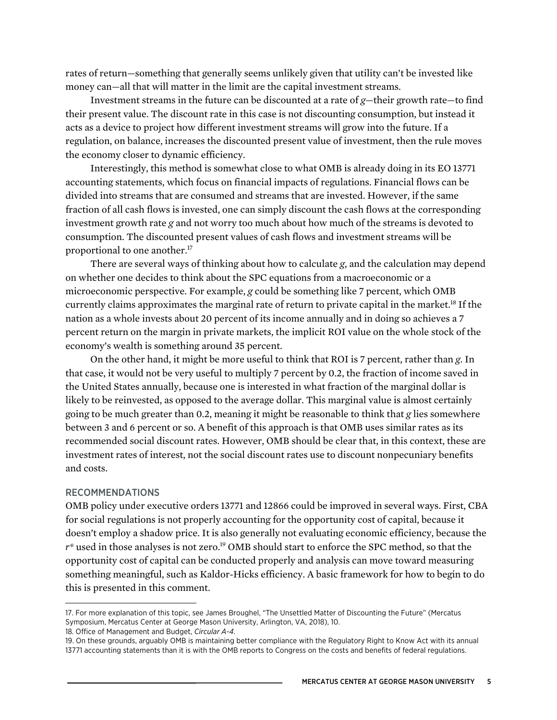rates of return—something that generally seems unlikely given that utility can't be invested like money can—all that will matter in the limit are the capital investment streams.

Investment streams in the future can be discounted at a rate of *g*—their growth rate—to find their present value. The discount rate in this case is not discounting consumption, but instead it acts as a device to project how different investment streams will grow into the future. If a regulation, on balance, increases the discounted present value of investment, then the rule moves the economy closer to dynamic efficiency.

Interestingly, this method is somewhat close to what OMB is already doing in its EO 13771 accounting statements, which focus on financial impacts of regulations. Financial flows can be divided into streams that are consumed and streams that are invested. However, if the same fraction of all cash flows is invested, one can simply discount the cash flows at the corresponding investment growth rate *g* and not worry too much about how much of the streams is devoted to consumption. The discounted present values of cash flows and investment streams will be proportional to one another.<sup>17</sup>

There are several ways of thinking about how to calculate *g*, and the calculation may depend on whether one decides to think about the SPC equations from a macroeconomic or a microeconomic perspective. For example, *g* could be something like 7 percent, which OMB currently claims approximates the marginal rate of return to private capital in the market.<sup>18</sup> If the nation as a whole invests about 20 percent of its income annually and in doing so achieves a 7 percent return on the margin in private markets, the implicit ROI value on the whole stock of the economy's wealth is something around 35 percent.

On the other hand, it might be more useful to think that ROI is 7 percent, rather than *g*. In that case, it would not be very useful to multiply 7 percent by 0.2, the fraction of income saved in the United States annually, because one is interested in what fraction of the marginal dollar is likely to be reinvested, as opposed to the average dollar. This marginal value is almost certainly going to be much greater than 0.2, meaning it might be reasonable to think that *g* lies somewhere between 3 and 6 percent or so. A benefit of this approach is that OMB uses similar rates as its recommended social discount rates. However, OMB should be clear that, in this context, these are investment rates of interest, not the social discount rates use to discount nonpecuniary benefits and costs.

#### RECOMMENDATIONS

OMB policy under executive orders 13771 and 12866 could be improved in several ways. First, CBA for social regulations is not properly accounting for the opportunity cost of capital, because it doesn't employ a shadow price. It is also generally not evaluating economic efficiency, because the  $r^*$  used in those analyses is not zero.<sup>19</sup> OMB should start to enforce the SPC method, so that the opportunity cost of capital can be conducted properly and analysis can move toward measuring something meaningful, such as Kaldor-Hicks efficiency. A basic framework for how to begin to do this is presented in this comment.

<sup>17.</sup> For more explanation of this topic, see James Broughel, "The Unsettled Matter of Discounting the Future" (Mercatus Symposium, Mercatus Center at George Mason University, Arlington, VA, 2018), 10.

<sup>18.</sup> Office of Management and Budget, *Circular A-4*.

<sup>19.</sup> On these grounds, arguably OMB is maintaining better compliance with the Regulatory Right to Know Act with its annual 13771 accounting statements than it is with the OMB reports to Congress on the costs and benefits of federal regulations.